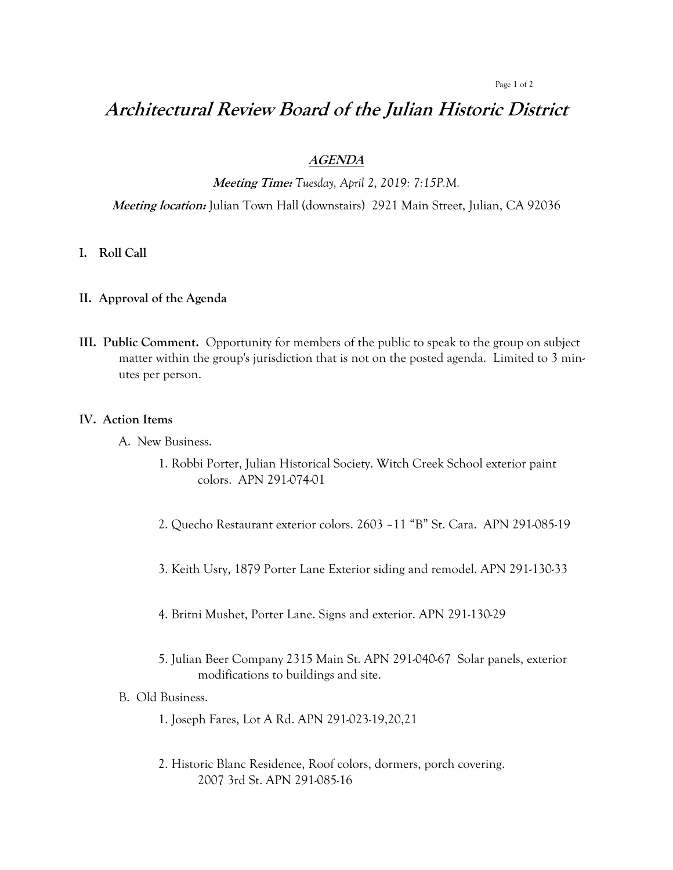#### Page 1 of 2

# **Architectural Review Board of the Julian Historic District**

## **AGENDA**

**Meeting Time:** *Tuesday, April 2, 2019: 7:15P.M.*

**Meeting location:** Julian Town Hall (downstairs) 2921 Main Street, Julian, CA 92036

- **I. Roll Call**
- **II. Approval of the Agenda**
- **III. Public Comment.** Opportunity for members of the public to speak to the group on subject matter within the group's jurisdiction that is not on the posted agenda. Limited to 3 minutes per person.

#### **IV. Action Items**

- A. New Business.
	- 1. Robbi Porter, Julian Historical Society. Witch Creek School exterior paint colors. APN 291-074-01
	- 2. Quecho Restaurant exterior colors. 2603 –11 "B" St. Cara. APN 291-085-19
	- 3. Keith Usry, 1879 Porter Lane Exterior siding and remodel. APN 291-130-33
	- 4. Britni Mushet, Porter Lane. Signs and exterior. APN 291-130-29
	- 5. Julian Beer Company 2315 Main St. APN 291-040-67 Solar panels, exterior modifications to buildings and site.

## B. Old Business.

- 1. Joseph Fares, Lot A Rd. APN 291-023-19,20,21
- 2. Historic Blanc Residence, Roof colors, dormers, porch covering. 2007 3rd St. APN 291-085-16